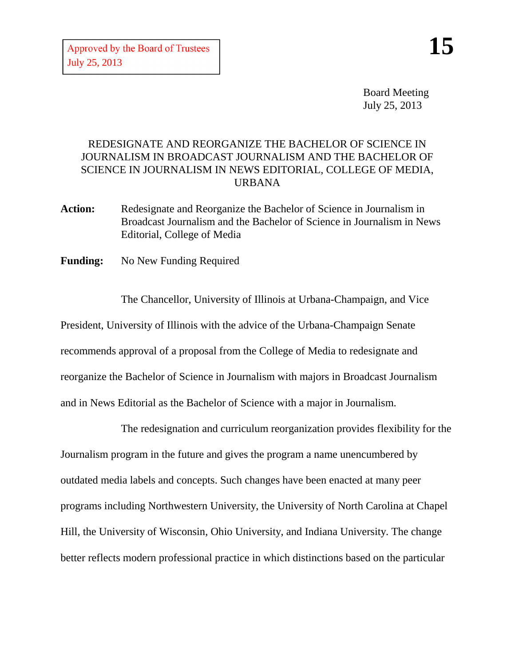Board Meeting July 25, 2013

## REDESIGNATE AND REORGANIZE THE BACHELOR OF SCIENCE IN JOURNALISM IN BROADCAST JOURNALISM AND THE BACHELOR OF SCIENCE IN JOURNALISM IN NEWS EDITORIAL, COLLEGE OF MEDIA, URBANA

- **Action:** Redesignate and Reorganize the Bachelor of Science in Journalism in Broadcast Journalism and the Bachelor of Science in Journalism in News Editorial, College of Media
- **Funding:** No New Funding Required

The Chancellor, University of Illinois at Urbana-Champaign, and Vice President, University of Illinois with the advice of the Urbana-Champaign Senate recommends approval of a proposal from the College of Media to redesignate and reorganize the Bachelor of Science in Journalism with majors in Broadcast Journalism and in News Editorial as the Bachelor of Science with a major in Journalism.

The redesignation and curriculum reorganization provides flexibility for the Journalism program in the future and gives the program a name unencumbered by outdated media labels and concepts. Such changes have been enacted at many peer programs including Northwestern University, the University of North Carolina at Chapel Hill, the University of Wisconsin, Ohio University, and Indiana University. The change better reflects modern professional practice in which distinctions based on the particular